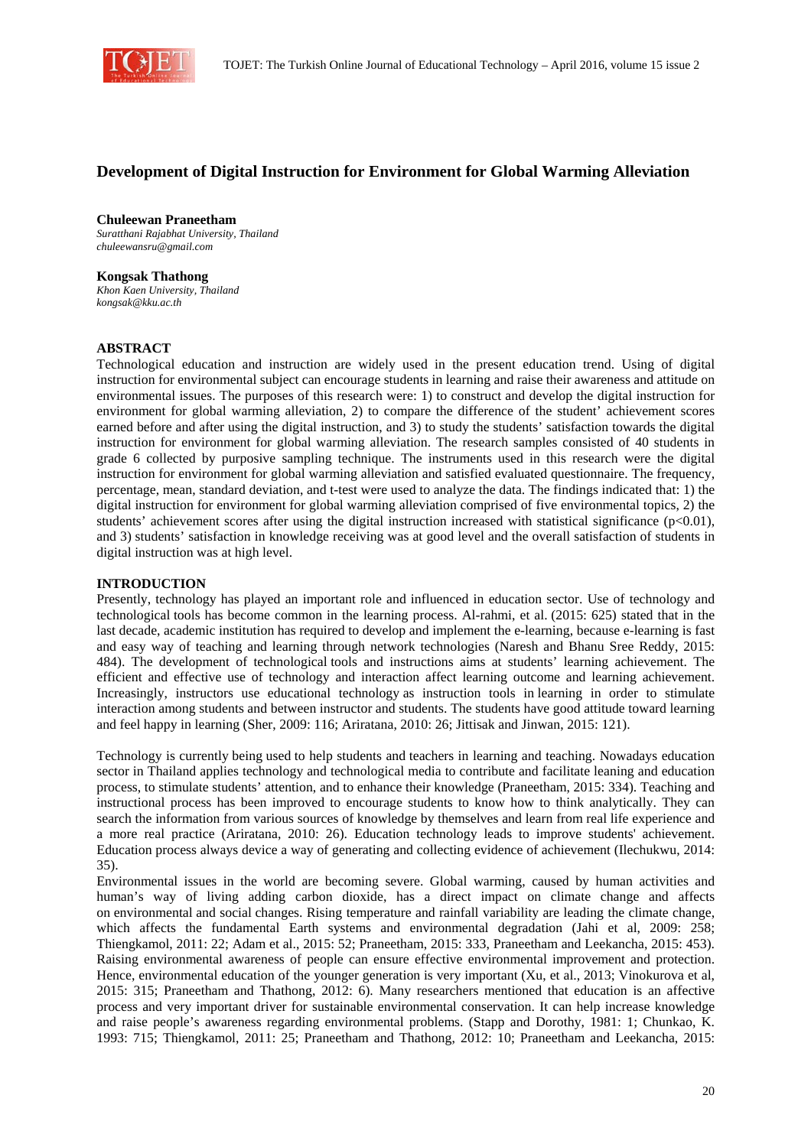

# **Development of Digital Instruction for Environment for Global Warming Alleviation**

### **Chuleewan Praneetham**

*Suratthani Rajabhat University, Thailand chuleewansru@gmail.com* 

#### **Kongsak Thathong**

*Khon Kaen University, Thailand kongsak@kku.ac.th* 

#### **ABSTRACT**

Technological education and instruction are widely used in the present education trend. Using of digital instruction for environmental subject can encourage students in learning and raise their awareness and attitude on environmental issues. The purposes of this research were: 1) to construct and develop the digital instruction for environment for global warming alleviation, 2) to compare the difference of the student' achievement scores earned before and after using the digital instruction, and 3) to study the students' satisfaction towards the digital instruction for environment for global warming alleviation. The research samples consisted of 40 students in grade 6 collected by purposive sampling technique. The instruments used in this research were the digital instruction for environment for global warming alleviation and satisfied evaluated questionnaire. The frequency, percentage, mean, standard deviation, and t-test were used to analyze the data. The findings indicated that: 1) the digital instruction for environment for global warming alleviation comprised of five environmental topics, 2) the students' achievement scores after using the digital instruction increased with statistical significance ( $p<0.01$ ), and 3) students' satisfaction in knowledge receiving was at good level and the overall satisfaction of students in digital instruction was at high level.

#### **INTRODUCTION**

Presently, technology has played an important role and influenced in education sector. Use of technology and technological tools has become common in the learning process. Al-rahmi, et al. (2015: 625) stated that in the last decade, academic institution has required to develop and implement the e-learning, because e-learning is fast and easy way of teaching and learning through network technologies (Naresh and Bhanu Sree Reddy, 2015: 484). The development of technological tools and instructions aims at students' learning achievement. The efficient and effective use of technology and interaction affect learning outcome and learning achievement. Increasingly, instructors use educational technology as instruction tools in learning in order to stimulate interaction among students and between instructor and students. The students have good attitude toward learning and feel happy in learning (Sher, 2009: 116; Ariratana, 2010: 26; Jittisak and Jinwan, 2015: 121).

Technology is currently being used to help students and teachers in learning and teaching. Nowadays education sector in Thailand applies technology and technological media to contribute and facilitate leaning and education process, to stimulate students' attention, and to enhance their knowledge (Praneetham, 2015: 334). Teaching and instructional process has been improved to encourage students to know how to think analytically. They can search the information from various sources of knowledge by themselves and learn from real life experience and a more real practice (Ariratana, 2010: 26). Education technology leads to improve students' achievement. Education process always device a way of generating and collecting evidence of achievement (Ilechukwu, 2014: 35).

Environmental issues in the world are becoming severe. Global warming, caused by human activities and human's way of living adding carbon dioxide, has a direct impact on climate change and affects on environmental and social changes. Rising temperature and rainfall variability are leading the climate change, which affects the fundamental Earth systems and environmental degradation (Jahi et al, 2009: 258; Thiengkamol, 2011: 22; Adam et al., 2015: 52; Praneetham, 2015: 333, Praneetham and Leekancha, 2015: 453). Raising environmental awareness of people can ensure effective environmental improvement and protection. Hence, environmental education of the younger generation is very important (Xu, et al., 2013; Vinokurova et al, 2015: 315; Praneetham and Thathong, 2012: 6). Many researchers mentioned that education is an affective process and very important driver for sustainable environmental conservation. It can help increase knowledge and raise people's awareness regarding environmental problems. (Stapp and Dorothy, 1981: 1; Chunkao, K. 1993: 715; Thiengkamol, 2011: 25; Praneetham and Thathong, 2012: 10; Praneetham and Leekancha, 2015: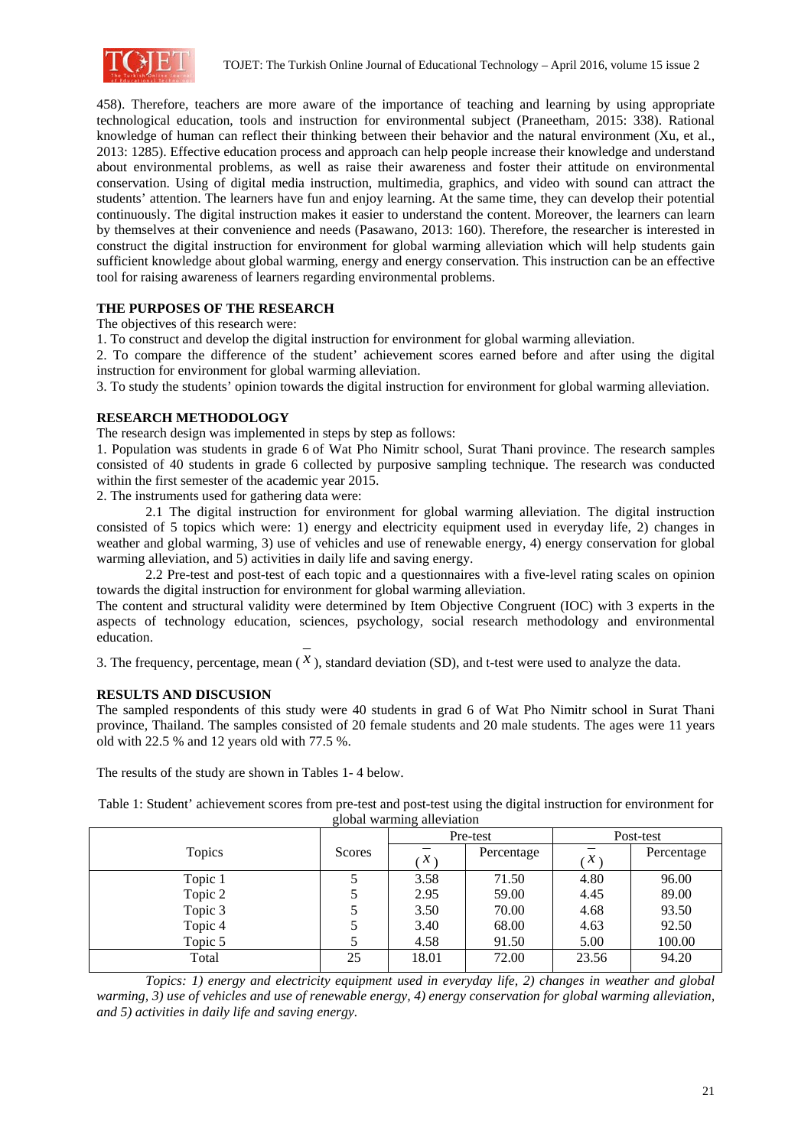

458). Therefore, teachers are more aware of the importance of teaching and learning by using appropriate technological education, tools and instruction for environmental subject (Praneetham, 2015: 338). Rational knowledge of human can reflect their thinking between their behavior and the natural environment (Xu, et al., 2013: 1285). Effective education process and approach can help people increase their knowledge and understand about environmental problems, as well as raise their awareness and foster their attitude on environmental conservation. Using of digital media instruction, multimedia, graphics, and video with sound can attract the students' attention. The learners have fun and enjoy learning. At the same time, they can develop their potential continuously. The digital instruction makes it easier to understand the content. Moreover, the learners can learn by themselves at their convenience and needs (Pasawano, 2013: 160). Therefore, the researcher is interested in construct the digital instruction for environment for global warming alleviation which will help students gain sufficient knowledge about global warming, energy and energy conservation. This instruction can be an effective tool for raising awareness of learners regarding environmental problems.

#### **THE PURPOSES OF THE RESEARCH**

The objectives of this research were:

1. To construct and develop the digital instruction for environment for global warming alleviation.

2. To compare the difference of the student' achievement scores earned before and after using the digital instruction for environment for global warming alleviation.

3. To study the students' opinion towards the digital instruction for environment for global warming alleviation.

#### **RESEARCH METHODOLOGY**

The research design was implemented in steps by step as follows:

1. Population was students in grade 6 of Wat Pho Nimitr school, Surat Thani province. The research samples consisted of 40 students in grade 6 collected by purposive sampling technique. The research was conducted within the first semester of the academic year 2015.

2. The instruments used for gathering data were:

2.1 The digital instruction for environment for global warming alleviation. The digital instruction consisted of 5 topics which were: 1) energy and electricity equipment used in everyday life, 2) changes in weather and global warming, 3) use of vehicles and use of renewable energy, 4) energy conservation for global warming alleviation, and 5) activities in daily life and saving energy.

2.2 Pre-test and post-test of each topic and a questionnaires with a five-level rating scales on opinion towards the digital instruction for environment for global warming alleviation.

The content and structural validity were determined by Item Objective Congruent (IOC) with 3 experts in the aspects of technology education, sciences, psychology, social research methodology and environmental education.

3. The frequency, percentage, mean  $(X)$ , standard deviation (SD), and t-test were used to analyze the data.

## **RESULTS AND DISCUSION**

The sampled respondents of this study were 40 students in grad 6 of Wat Pho Nimitr school in Surat Thani province, Thailand. The samples consisted of 20 female students and 20 male students. The ages were 11 years old with 22.5 % and 12 years old with 77.5 %.

The results of the study are shown in Tables 1- 4 below.

| global warming alleviation |        |               |            |               |            |
|----------------------------|--------|---------------|------------|---------------|------------|
|                            |        | Pre-test      |            | Post-test     |            |
| Topics                     | Scores | $\mathcal{X}$ | Percentage | $\mathcal{X}$ | Percentage |
| Topic 1                    |        | 3.58          | 71.50      | 4.80          | 96.00      |
| Topic 2                    |        | 2.95          | 59.00      | 4.45          | 89.00      |
| Topic 3                    |        | 3.50          | 70.00      | 4.68          | 93.50      |
| Topic 4                    |        | 3.40          | 68.00      | 4.63          | 92.50      |
| Topic 5                    |        | 4.58          | 91.50      | 5.00          | 100.00     |

Table 1: Student' achievement scores from pre-test and post-test using the digital instruction for environment for global warming alleviation

*Topics: 1) energy and electricity equipment used in everyday life, 2) changes in weather and global warming, 3) use of vehicles and use of renewable energy, 4) energy conservation for global warming alleviation, and 5) activities in daily life and saving energy.* 

Total 25 18.01 72.00 23.56 94.20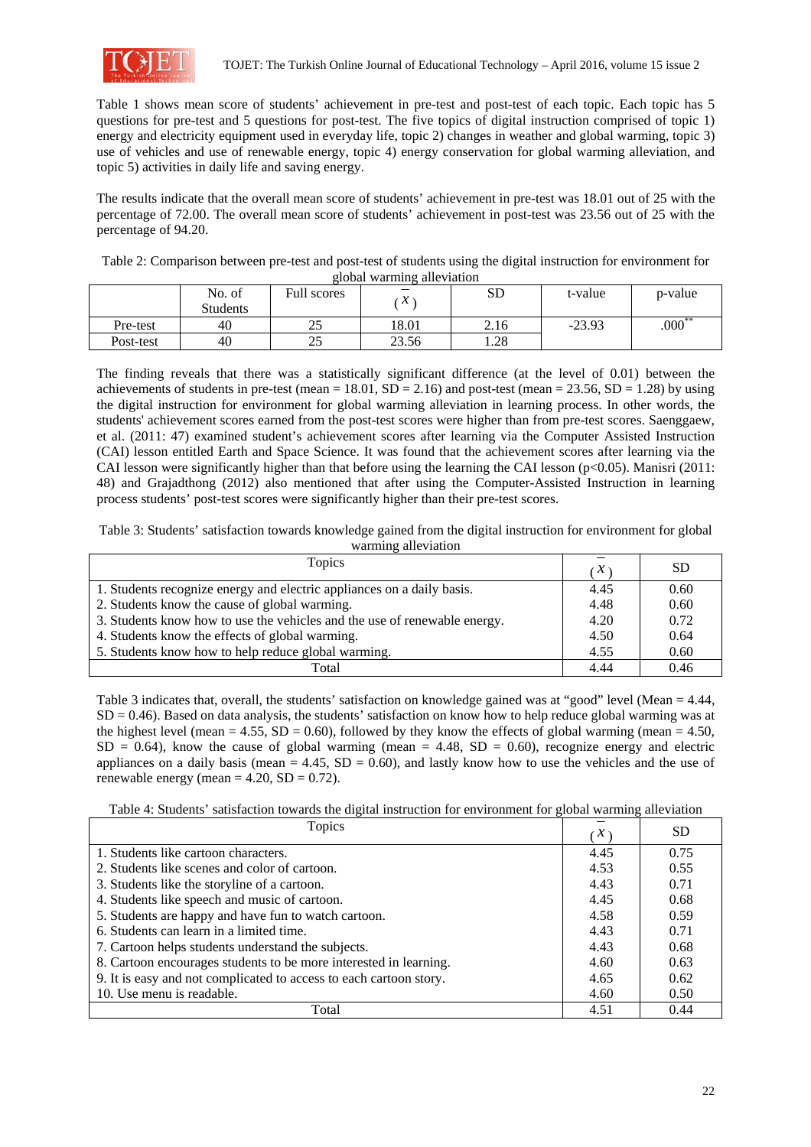

Table 1 shows mean score of students' achievement in pre-test and post-test of each topic. Each topic has 5 questions for pre-test and 5 questions for post-test. The five topics of digital instruction comprised of topic 1) energy and electricity equipment used in everyday life, topic 2) changes in weather and global warming, topic 3) use of vehicles and use of renewable energy, topic 4) energy conservation for global warming alleviation, and topic 5) activities in daily life and saving energy.

The results indicate that the overall mean score of students' achievement in pre-test was 18.01 out of 25 with the percentage of 72.00. The overall mean score of students' achievement in post-test was 23.56 out of 25 with the percentage of 94.20.

| Table 2: Comparison between pre-test and post-test of students using the digital instruction for environment for |  |
|------------------------------------------------------------------------------------------------------------------|--|
| global warming alleviation                                                                                       |  |

|           | No. of<br>Students | <b>Full scores</b> | л     | SD   | t-value  | p-value   |
|-----------|--------------------|--------------------|-------|------|----------|-----------|
| Pre-test  | 40                 | 25                 | 18.01 | 2.16 | $-23.93$ | $.000***$ |
| Post-test | 40                 | つち<br>نەك          | 23.56 | 1.28 |          |           |

The finding reveals that there was a statistically significant difference (at the level of 0.01) between the achievements of students in pre-test (mean =  $18.01$ , SD =  $2.16$ ) and post-test (mean =  $23.56$ , SD =  $1.28$ ) by using the digital instruction for environment for global warming alleviation in learning process. In other words, the students' achievement scores earned from the post-test scores were higher than from pre-test scores. Saenggaew, et al. (2011: 47) examined student's achievement scores after learning via the Computer Assisted Instruction (CAI) lesson entitled Earth and Space Science. It was found that the achievement scores after learning via the CAI lesson were significantly higher than that before using the learning the CAI lesson ( $p<0.05$ ). Manisri (2011: 48) and Grajadthong (2012) also mentioned that after using the Computer-Assisted Instruction in learning process students' post-test scores were significantly higher than their pre-test scores.

Table 3: Students' satisfaction towards knowledge gained from the digital instruction for environment for global warming alleviation

| Topics                                                                    | $\cdot x$ | <b>SD</b> |
|---------------------------------------------------------------------------|-----------|-----------|
| 1. Students recognize energy and electric appliances on a daily basis.    | 4.45      | 0.60      |
| 2. Students know the cause of global warming.                             | 4.48      | 0.60      |
| 3. Students know how to use the vehicles and the use of renewable energy. |           | 0.72      |
| 4. Students know the effects of global warming.                           |           | 0.64      |
| 5. Students know how to help reduce global warming.                       |           | 0.60      |
| Total                                                                     | 4.44      | 0.46      |

Table 3 indicates that, overall, the students' satisfaction on knowledge gained was at "good" level (Mean = 4.44,  $SD = 0.46$ ). Based on data analysis, the students' satisfaction on know how to help reduce global warming was at the highest level (mean = 4.55,  $SD = 0.60$ ), followed by they know the effects of global warming (mean = 4.50,  $SD = 0.64$ ), know the cause of global warming (mean = 4.48,  $SD = 0.60$ ), recognize energy and electric appliances on a daily basis (mean  $= 4.45$ , SD  $= 0.60$ ), and lastly know how to use the vehicles and the use of renewable energy (mean  $= 4.20$ , SD  $= 0.72$ ).

Table 4: Students' satisfaction towards the digital instruction for environment for global warming alleviation

| Topics                                                             | $\cdot x$ | <b>SD</b> |
|--------------------------------------------------------------------|-----------|-----------|
| 1. Students like cartoon characters.                               | 4.45      | 0.75      |
| 2. Students like scenes and color of cartoon.                      | 4.53      | 0.55      |
| 3. Students like the storyline of a cartoon.                       | 4.43      | 0.71      |
| 4. Students like speech and music of cartoon.                      | 4.45      | 0.68      |
| 5. Students are happy and have fun to watch cartoon.               | 4.58      | 0.59      |
| 6. Students can learn in a limited time.                           | 4.43      | 0.71      |
| 7. Cartoon helps students understand the subjects.                 | 4.43      | 0.68      |
| 8. Cartoon encourages students to be more interested in learning.  | 4.60      | 0.63      |
| 9. It is easy and not complicated to access to each cartoon story. | 4.65      | 0.62      |
| 10. Use menu is readable.                                          | 4.60      | 0.50      |
| Total                                                              | 4.51      | 0.44      |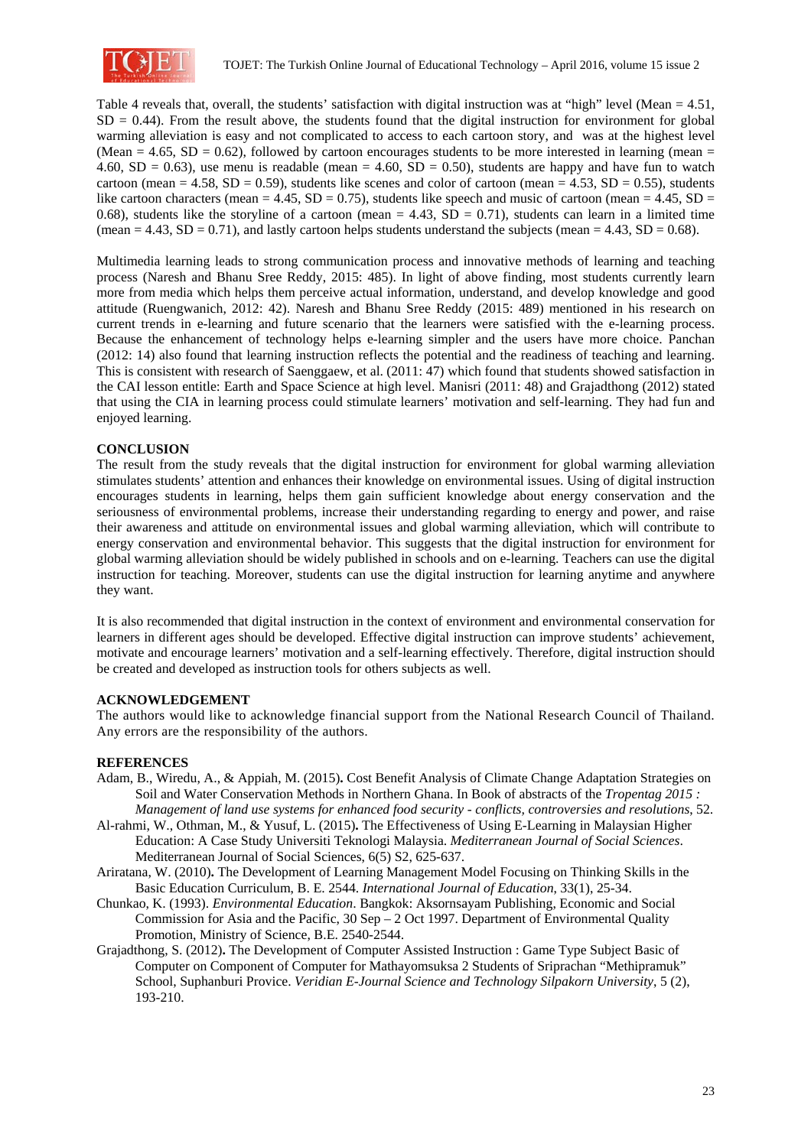

Table 4 reveals that, overall, the students' satisfaction with digital instruction was at "high" level (Mean = 4.51,  $SD = 0.44$ ). From the result above, the students found that the digital instruction for environment for global warming alleviation is easy and not complicated to access to each cartoon story, and was at the highest level (Mean = 4.65, SD = 0.62), followed by cartoon encourages students to be more interested in learning (mean = 4.60, SD = 0.63), use menu is readable (mean = 4.60, SD = 0.50), students are happy and have fun to watch cartoon (mean = 4.58, SD = 0.59), students like scenes and color of cartoon (mean = 4.53, SD = 0.55), students like cartoon characters (mean = 4.45,  $SD = 0.75$ ), students like speech and music of cartoon (mean = 4.45,  $SD =$ 0.68), students like the storyline of a cartoon (mean  $= 4.43$ , SD  $= 0.71$ ), students can learn in a limited time (mean = 4.43,  $SD = 0.71$ ), and lastly cartoon helps students understand the subjects (mean = 4.43,  $SD = 0.68$ ).

Multimedia learning leads to strong communication process and innovative methods of learning and teaching process (Naresh and Bhanu Sree Reddy, 2015: 485). In light of above finding, most students currently learn more from media which helps them perceive actual information, understand, and develop knowledge and good attitude (Ruengwanich, 2012: 42). Naresh and Bhanu Sree Reddy (2015: 489) mentioned in his research on current trends in e-learning and future scenario that the learners were satisfied with the e-learning process. Because the enhancement of technology helps e-learning simpler and the users have more choice. Panchan (2012: 14) also found that learning instruction reflects the potential and the readiness of teaching and learning. This is consistent with research of Saenggaew, et al. (2011: 47) which found that students showed satisfaction in the CAI lesson entitle: Earth and Space Science at high level. Manisri (2011: 48) and Grajadthong (2012) stated that using the CIA in learning process could stimulate learners' motivation and self-learning. They had fun and enjoyed learning.

## **CONCLUSION**

The result from the study reveals that the digital instruction for environment for global warming alleviation stimulates students' attention and enhances their knowledge on environmental issues. Using of digital instruction encourages students in learning, helps them gain sufficient knowledge about energy conservation and the seriousness of environmental problems, increase their understanding regarding to energy and power, and raise their awareness and attitude on environmental issues and global warming alleviation, which will contribute to energy conservation and environmental behavior. This suggests that the digital instruction for environment for global warming alleviation should be widely published in schools and on e-learning. Teachers can use the digital instruction for teaching. Moreover, students can use the digital instruction for learning anytime and anywhere they want.

It is also recommended that digital instruction in the context of environment and environmental conservation for learners in different ages should be developed. Effective digital instruction can improve students' achievement, motivate and encourage learners' motivation and a self-learning effectively. Therefore, digital instruction should be created and developed as instruction tools for others subjects as well.

#### **ACKNOWLEDGEMENT**

The authors would like to acknowledge financial support from the National Research Council of Thailand. Any errors are the responsibility of the authors.

#### **REFERENCES**

- Adam, B., Wiredu, A., & Appiah, M. (2015)**.** Cost Benefit Analysis of Climate Change Adaptation Strategies on Soil and Water Conservation Methods in Northern Ghana. In Book of abstracts of the *Tropentag 2015 : Management of land use systems for enhanced food security - conflicts, controversies and resolutions*, 52.
- Al-rahmi, W., Othman, M., & Yusuf, L. (2015)**.** The Effectiveness of Using E-Learning in Malaysian Higher Education: A Case Study Universiti Teknologi Malaysia. *Mediterranean Journal of Social Sciences*. Mediterranean Journal of Social Sciences, 6(5) S2, 625-637.
- Ariratana, W. (2010)**.** The Development of Learning Management Model Focusing on Thinking Skills in the Basic Education Curriculum, B. E. 2544. *International Journal of Education*, 33(1), 25-34.
- Chunkao, K. (1993). *Environmental Education*. Bangkok: Aksornsayam Publishing, Economic and Social Commission for Asia and the Pacific, 30 Sep – 2 Oct 1997. Department of Environmental Quality Promotion, Ministry of Science, B.E. 2540-2544.
- Grajadthong, S. (2012)**.** The Development of Computer Assisted Instruction : Game Type Subject Basic of Computer on Component of Computer for Mathayomsuksa 2 Students of Sriprachan "Methipramuk" School, Suphanburi Provice. *Veridian E-Journal Science and Technology Silpakorn University*, 5 (2), 193-210.